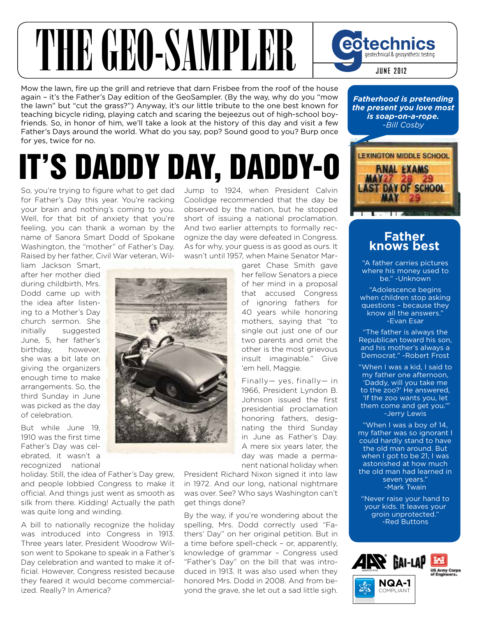# THE GEO-SAMPLER

Mow the lawn, fire up the grill and retrieve that darn Frisbee from the roof of the house again – it's the Father's Day edition of the GeoSampler. (By the way, why do you "mow the lawn" but "cut the grass?") Anyway, it's our little tribute to the one best known for teaching bicycle riding, playing catch and scaring the bejeezus out of high-school boyfriends. So, in honor of him, we'll take a look at the history of this day and visit a few Father's Days around the world. What do you say, pop? Sound good to you? Burp once for yes, twice for no.

### It's DaDDy Day, DaDDy-O

So, you're trying to figure what to get dad for Father's Day this year. You're racking your brain and nothing's coming to you. Well, for that bit of anxiety that you're feeling, you can thank a woman by the name of Sanora Smart Dodd of Spokane Washington, the "mother" of Father's Day. Raised by her father, Civil War veteran, WilJump to 1924, when President Calvin Coolidge recommended that the day be observed by the nation, but he stopped short of issuing a national proclamation. And two earlier attempts to formally recognize the day were defeated in Congress. As for why, your guess is as good as ours. It wasn't until 1957, when Maine Senator Mar-

liam Jackson Smart, after her mother died during childbirth, Mrs. Dodd came up with the idea after listening to a Mother's Day church sermon. She initially suggested June, 5, her father's birthday, however, she was a bit late on giving the organizers enough time to make arrangements. So, the third Sunday in June was picked as the day of celebration.

But while June 19, 1910 was the first time Father's Day was celebrated, it wasn't a recognized national

holiday. Still, the idea of Father's Day grew, and people lobbied Congress to make it official. And things just went as smooth as silk from there. Kidding! Actually the path was quite long and winding.

A bill to nationally recognize the holiday was introduced into Congress in 1913. Three years later, President Woodrow Wilson went to Spokane to speak in a Father's Day celebration and wanted to make it official. However, Congress resisted because they feared it would become commercialized. Really? In America?



garet Chase Smith gave her fellow Senators a piece of her mind in a proposal that accused Congress of ignoring fathers for 40 years while honoring mothers, saying that "to single out just one of our two parents and omit the other is the most grievous insult imaginable." Give 'em hell, Maggie.

Finally— yes, finally— in 1966, President Lyndon B. Johnson issued the first presidential proclamation honoring fathers, designating the third Sunday in June as Father's Day. A mere six years later, the day was made a permanent national holiday when

President Richard Nixon signed it into law in 1972. And our long, national nightmare was over. See? Who says Washington can't get things done?

By the way, if you're wondering about the spelling, Mrs. Dodd correctly used "Fathers' Day" on her original petition. But in a time before spell-check – or, apparently, knowledge of grammar – Congress used "Father's Day" on the bill that was introduced in 1913. It was also used when they honored Mrs. Dodd in 2008. And from beyond the grave, she let out a sad little sigh.

*Fatherhood is pretending the present you love most is soap-on-a-rope. ~Bill Cosby*

**June 2012**

geotechnical & geosynthetic testing

eotechnics



#### **Father knows best**

"A father carries pictures where his money used to be." -Unknown

"Adolescence begins when children stop asking questions – because they know all the answers." -Evan Esar

"The father is always the Republican toward his son, and his mother's always a Democrat." -Robert Frost

"When I was a kid, I said to my father one afternoon, 'Daddy, will you take me to the zoo?' He answered, 'If the zoo wants you, let them come and get you.'" -Jerry Lewis

"When I was a boy of 14, my father was so ignorant I could hardly stand to have the old man around. But when I got to be 21. I was astonished at how much the old man had learned in seven years." -Mark Twain

"Never raise your hand to your kids. It leaves your groin unprotected." -Red Buttons